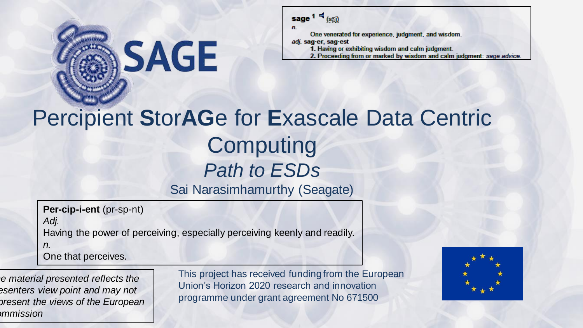

sage  $1 - \frac{1}{\sqrt{2}}$  (sai)

n.

One venerated for experience, judgment, and wisdom.

adj. sag-er, sag-est

- 1. Having or exhibiting wisdom and calm judgment.
- 2. Proceeding from or marked by wisdom and calm judgment: sage advice.

# Percipient **S**tor**AG**e for **E**xascale Data Centric **Computing** *Path to ESDs*

Sai Narasimhamurthy (Seagate)

**Per-cip-i-ent** (pr-sp-nt) *Adj.* Having the power of perceiving, especially perceiving keenly and readily.

*n.* One that perceives.

*The material presented reflects the presenters view point and may not represent the views of the European Commission* 

This project has received funding from the European Union's Horizon 2020 research and innovation programme under grant agreement No 671500

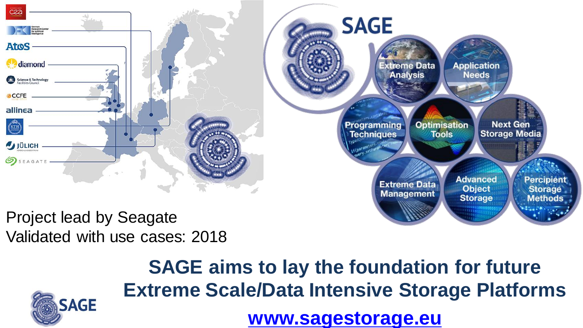

Validated with use cases: 2018



**SAGE aims to lay the foundation for future Extreme Scale/Data Intensive Storage Platforms [www.sagestorage.eu](http://www.sagestorage.eu)**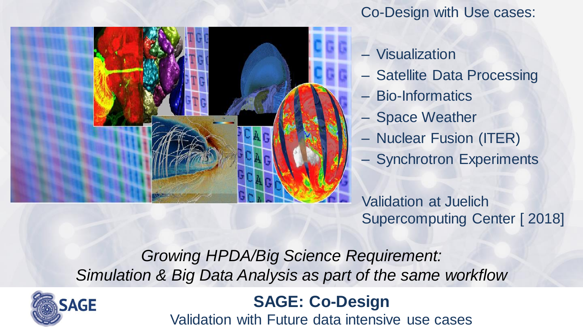

### Co-Design with Use cases:

- Visualization
- Satellite Data Processing
- Bio-Informatics
- Space Weather
- Nuclear Fusion (ITER)
- Synchrotron Experiments

Validation at Juelich Supercomputing Center [ 2018]

*Growing HPDA/Big Science Requirement: Simulation & Big Data Analysis as part of the same workflow* 



### **SAGE: Co-Design**

Validation with Future data intensive use cases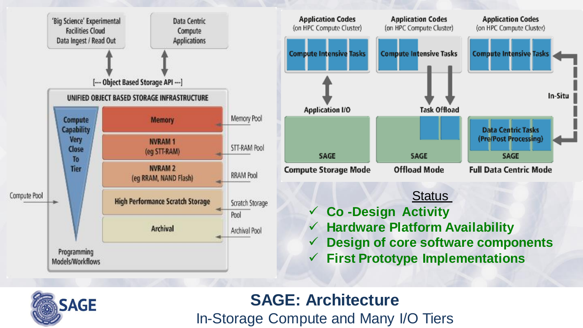



- **Hardware Platform Availability**
- **Design of core software components**
- **First Prototype Implementations**



### **SAGE: Architecture**

In-Storage Compute and Many I/O Tiers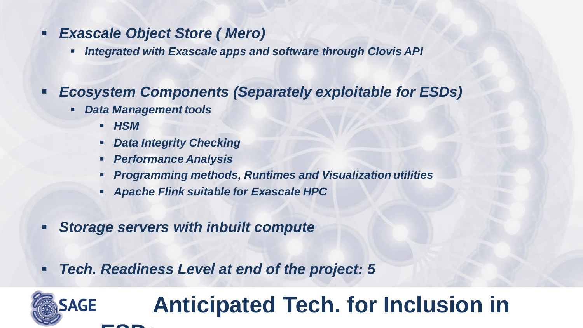#### *Exascale Object Store ( Mero)*

- *Integrated with Exascale apps and software through Clovis API*
- *Ecosystem Components (Separately exploitable for ESDs)*
	- *Data Management tools* 
		- *HSM*
		- *Data Integrity Checking*
		- *Performance Analysis*
		- *Programming methods, Runtimes and Visualization utilities*
		- *Apache Flink suitable for Exascale HPC*
- *Storage servers with inbuilt compute*
- *Tech. Readiness Level at end of the project: 5*

### **Anticipated Tech. for Inclusion in**  SAGE **ESDs**